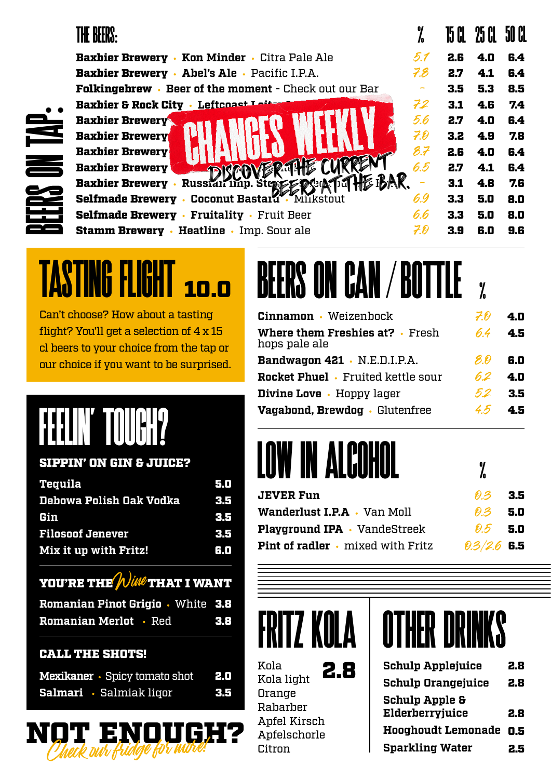| <b>THE BEERS:</b>                                                          |     | 15 CL            | 25 CL | 50 CL |
|----------------------------------------------------------------------------|-----|------------------|-------|-------|
| Baxbier Brewery · Kon Minder · Citra Pale Ale                              | 5.1 | 2.6              | 4.0   | 6.4   |
| <b>Baxbier Brewery · Abel's Ale · Pacific I.P.A.</b>                       | 7.8 | 2.7              | 4.1   | 6.4   |
| <b>Folkingebrew</b> Beer of the moment - Check out our Bar                 |     | 3.5 <sub>1</sub> | 5.3   | 8.5   |
| <b>Baxbier &amp; Rock City · Leftcoast Leite</b>                           | 72  | 3.1              | 4.6   | 7.4   |
| <b>Baxbier Brewery</b>                                                     | 5.6 | 2.7              | 4.0   | 6.4   |
| <u>es</u><br><b>Baxbier Brewery</b>                                        | 70  | 3.2 <sub>2</sub> | 4.9   | 7.8   |
| n<br>E<br><b>Baxbier Brewery</b>                                           | 8.7 | 2.6              | 4.0   | 6.4   |
| <b>Baxbier Brewery</b>                                                     | 6.5 | 2.7              | 4.1   | 6.4   |
| Baxbier Brewery · Russian imp. Sto                                         |     | 3.1              | 4.8   | 7.6   |
| <b>Selfmade Brewery ·</b><br><b>Coconut Bastara<sup>4</sup>.</b> Milkstout | 6.9 | 3.3 <sub>2</sub> | 5.0   | 8.0   |
| FERS  <br><b>Selfmade Brewery · Fruitality · Fruit Beer</b>                | 6.6 | 3.3              | 5.0   | 8.0   |
| <b>Stamm Brewery · Heatline · Imp. Sour ale</b>                            |     | 3.9              | 6.0   | 9.6   |

### TASTING FLIGHT 10.0

Can't choose? How about a tasting flight? You'll get a selection of 4 x 15 cl beers to your choice from the tap or our choice if you want to be surprised.

#### SIPPIN' ON GIN & JUICE?

| <b>Tequila</b>          | 5.0 |
|-------------------------|-----|
| Debowa Polish Oak Vodka | 3.5 |
| Gin                     | 3.5 |
| <b>Filosoof Jenever</b> | 3.5 |
| Mix it up with Fritz!   | 6.Q |

### YOU'RE THE  $\!\!\mathscr{W}\hspace{-1.4pt}\mathscr{W}\hspace{-1.4pt}\mathscr{W}\hspace{-1.4pt}\mathscr{W}$ that i want

| <b>Romanian Pinot Grigio · White 3.8</b> |     |
|------------------------------------------|-----|
| <b>Romanian Merlot</b> · Red             | 3.8 |

#### CALL THE SHOTS!

| <b>Mexikaner</b> · Spicy tomato shot <b>2.0</b> |      |
|-------------------------------------------------|------|
| <b>Salmari</b> · Salmiak ligor                  | -3.5 |



### beers on can / bottle  $\gamma$

| 4.O<br>7P  |
|------------|
| 64<br>4.5  |
| 8.0<br>6.0 |
| 62<br>4.O  |
| 3.5<br>52  |
| 4.5<br>4.5 |
|            |

### LOW IN ALCOHOL

| JEVER Fun                                | $23-$         | -3.5 |
|------------------------------------------|---------------|------|
| Wanderlust I.P.A · Van Moll              | $23-$         | 5.0  |
| <b>Playground IPA</b> · VandeStreek      | $\theta$ 5.0  |      |
| <b>Pint of radler</b> • mixed with Fritz | $0.3/2.6$ 6.5 |      |
|                                          |               |      |

# fritz kola

Kola Kola light **Orange** Rabarber Apfel Kirsch Apfelschorle **Citron** 2.8



 $\frac{9}{6}$ 

| <b>Schulp Applejuice</b>                     | 2.8 |
|----------------------------------------------|-----|
| <b>Schulp Orangejuice</b>                    | 2.8 |
| <b>Schulp Apple &amp;</b><br>Elderberryjuice | 2.8 |
| <b>Hooghoudt Lemonade</b>                    | 0.5 |
| <b>Sparkling Water</b>                       | 2.5 |